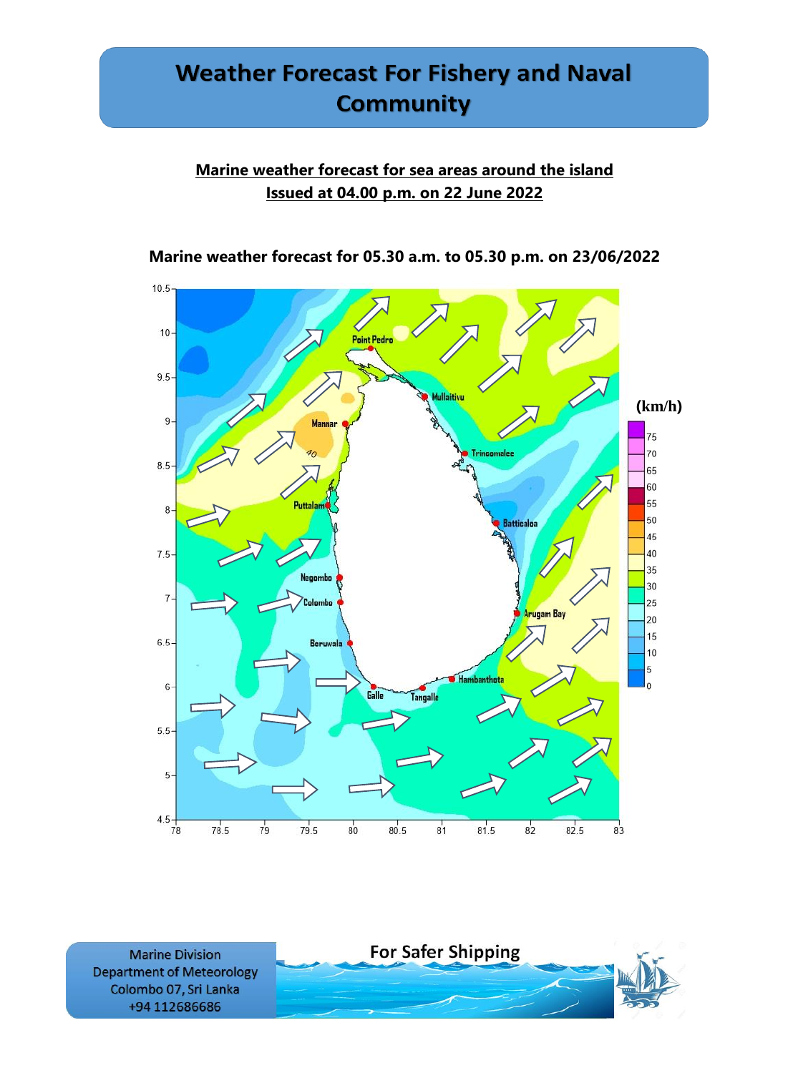### **Marine weather forecast for sea areas around the island Issued at 04.00 p.m. on 22 June 2022**

#### **Marine weather forecast for 05.30 a.m. to 05.30 p.m. on 23/06/2022**



**Marine Division Department of Meteorology** Colombo 07, Sri Lanka +94 112686686

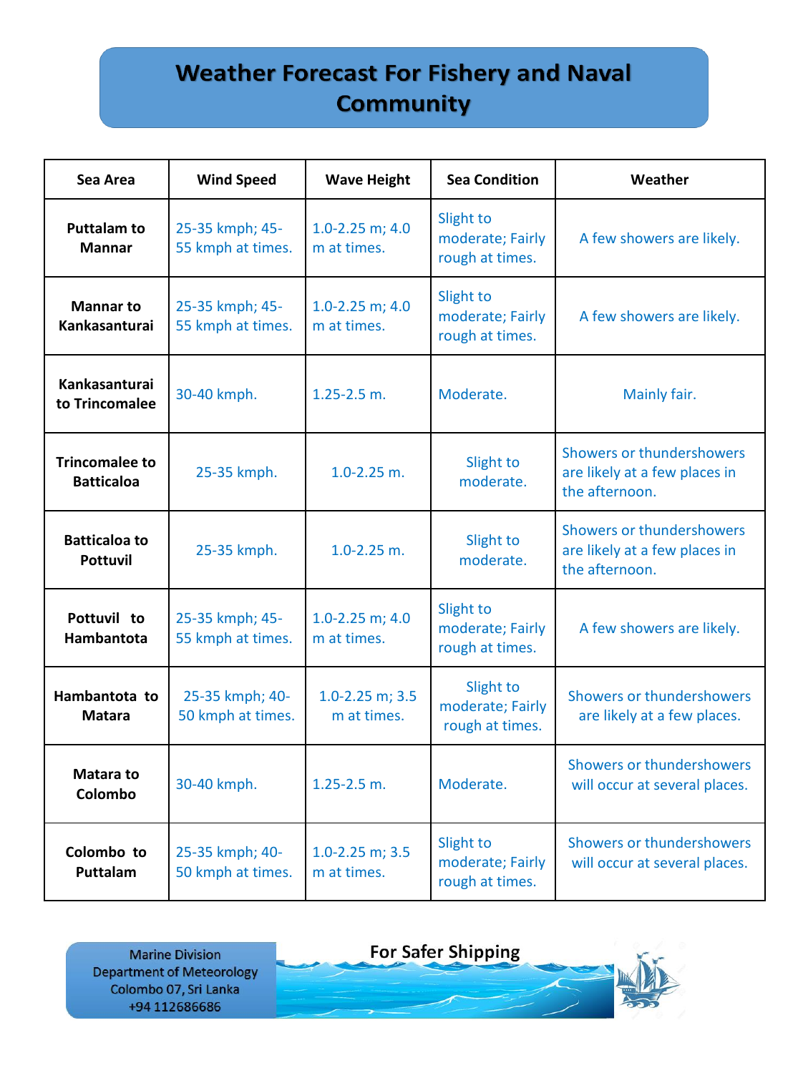| Sea Area                                   | <b>Wind Speed</b>                    | <b>Wave Height</b>                   | <b>Sea Condition</b>                             | Weather                                                                      |
|--------------------------------------------|--------------------------------------|--------------------------------------|--------------------------------------------------|------------------------------------------------------------------------------|
| <b>Puttalam to</b><br><b>Mannar</b>        | 25-35 kmph; 45-<br>55 kmph at times. | $1.0 - 2.25$ m; $4.0$<br>m at times. | Slight to<br>moderate; Fairly<br>rough at times. | A few showers are likely.                                                    |
| <b>Mannar to</b><br>Kankasanturai          | 25-35 kmph; 45-<br>55 kmph at times. | $1.0 - 2.25$ m; $4.0$<br>m at times. | Slight to<br>moderate; Fairly<br>rough at times. | A few showers are likely.                                                    |
| Kankasanturai<br>to Trincomalee            | 30-40 kmph.                          | $1.25 - 2.5$ m.                      | Moderate.                                        | Mainly fair.                                                                 |
| <b>Trincomalee to</b><br><b>Batticaloa</b> | 25-35 kmph.                          | $1.0 - 2.25$ m.                      | Slight to<br>moderate.                           | Showers or thundershowers<br>are likely at a few places in<br>the afternoon. |
| <b>Batticaloa to</b><br><b>Pottuvil</b>    | 25-35 kmph.                          | $1.0 - 2.25$ m.                      | Slight to<br>moderate.                           | Showers or thundershowers<br>are likely at a few places in<br>the afternoon. |
| Pottuvil to<br>Hambantota                  | 25-35 kmph; 45-<br>55 kmph at times. | $1.0 - 2.25$ m; $4.0$<br>m at times. | Slight to<br>moderate; Fairly<br>rough at times. | A few showers are likely.                                                    |
| Hambantota to<br><b>Matara</b>             | 25-35 kmph; 40-<br>50 kmph at times. | 1.0-2.25 m; $3.5$<br>m at times.     | Slight to<br>moderate; Fairly<br>rough at times. | Showers or thundershowers<br>are likely at a few places.                     |
| <b>Matara to</b><br>Colombo                | 30-40 kmph.                          | $1.25 - 2.5$ m.                      | Moderate.                                        | Showers or thundershowers<br>will occur at several places.                   |
| Colombo to<br>Puttalam                     | 25-35 kmph; 40-<br>50 kmph at times. | $1.0 - 2.25$ m; $3.5$<br>m at times. | Slight to<br>moderate; Fairly<br>rough at times. | Showers or thundershowers<br>will occur at several places.                   |

**Marine Division Department of Meteorology** Colombo 07, Sri Lanka +94 112686686

**For Safer Shipping** 

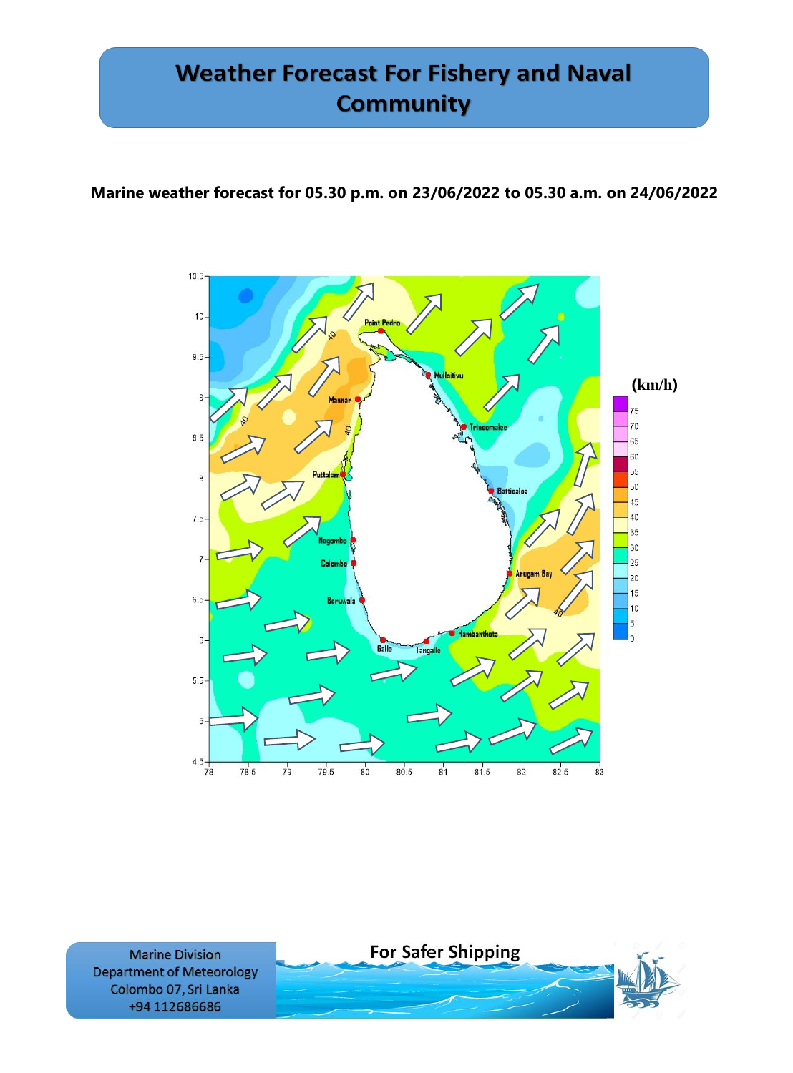### **Marine weather forecast for 05.30 p.m. on 23/06/2022 to 05.30 a.m. on 24/06/2022**



**Marine Division Department of Meteorology** Colombo 07, Sri Lanka +94 112686686